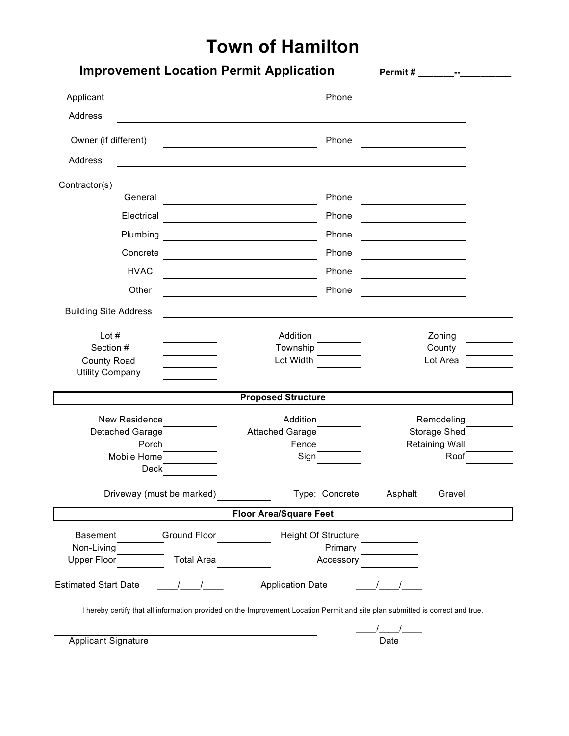## **Town of Hamilton**

| Applicant                                                                                                                      |                   |                                                                                                                       | Phone               |          |                            |  |
|--------------------------------------------------------------------------------------------------------------------------------|-------------------|-----------------------------------------------------------------------------------------------------------------------|---------------------|----------|----------------------------|--|
| Address                                                                                                                        |                   |                                                                                                                       |                     |          |                            |  |
| Owner (if different)                                                                                                           |                   | <u> 1989 - Johann Barbara, martin amerikan basal dan berasal dalam basal dalam basal dalam basal dalam basal dala</u> | Phone               |          |                            |  |
| Address                                                                                                                        |                   |                                                                                                                       |                     |          |                            |  |
| Contractor(s)                                                                                                                  |                   |                                                                                                                       |                     |          |                            |  |
| General                                                                                                                        |                   |                                                                                                                       | Phone               |          |                            |  |
| Electrical                                                                                                                     |                   |                                                                                                                       | Phone               |          |                            |  |
| Plumbing                                                                                                                       |                   |                                                                                                                       | Phone               |          |                            |  |
| Concrete                                                                                                                       |                   | the control of the control of the control of the control of                                                           | Phone               |          |                            |  |
| <b>HVAC</b>                                                                                                                    |                   |                                                                                                                       | Phone               |          |                            |  |
| Other                                                                                                                          |                   |                                                                                                                       | Phone               |          |                            |  |
| <b>Building Site Address</b>                                                                                                   |                   |                                                                                                                       |                     |          |                            |  |
| Lot $#$                                                                                                                        |                   | Addition                                                                                                              |                     |          | Zoning                     |  |
| Section #                                                                                                                      |                   | Township                                                                                                              |                     |          | County                     |  |
| <b>County Road</b><br><b>Utility Company</b>                                                                                   |                   | Lot Width                                                                                                             |                     | Lot Area |                            |  |
|                                                                                                                                |                   | <b>Proposed Structure</b>                                                                                             |                     |          |                            |  |
|                                                                                                                                |                   |                                                                                                                       |                     |          |                            |  |
| New Residence<br>Detached Garage                                                                                               |                   | Addition<br>Attached Garage                                                                                           |                     |          | Remodeling<br>Storage Shed |  |
| Porch                                                                                                                          |                   | Fence                                                                                                                 |                     |          | <b>Retaining Wall</b>      |  |
| Mobile Home                                                                                                                    |                   | Sign                                                                                                                  |                     |          | Roof                       |  |
| <b>Deck</b>                                                                                                                    |                   |                                                                                                                       |                     |          |                            |  |
| Driveway (must be marked)                                                                                                      |                   |                                                                                                                       | Type: Concrete      | Asphalt  | Gravel                     |  |
|                                                                                                                                |                   | <b>Floor Area/Square Feet</b>                                                                                         |                     |          |                            |  |
| <b>Basement</b>                                                                                                                | Ground Floor      |                                                                                                                       | Height Of Structure |          |                            |  |
| Non-Living                                                                                                                     |                   |                                                                                                                       | Primary             |          |                            |  |
| Upper Floor                                                                                                                    | <b>Total Area</b> |                                                                                                                       | Accessory           |          |                            |  |
| <b>Estimated Start Date</b>                                                                                                    |                   | <b>Application Date</b>                                                                                               |                     |          |                            |  |
| I hereby certify that all information provided on the Improvement Location Permit and site plan submitted is correct and true. |                   |                                                                                                                       |                     |          |                            |  |
|                                                                                                                                |                   |                                                                                                                       |                     |          |                            |  |
| <b>Applicant Signature</b>                                                                                                     |                   |                                                                                                                       |                     | Date     |                            |  |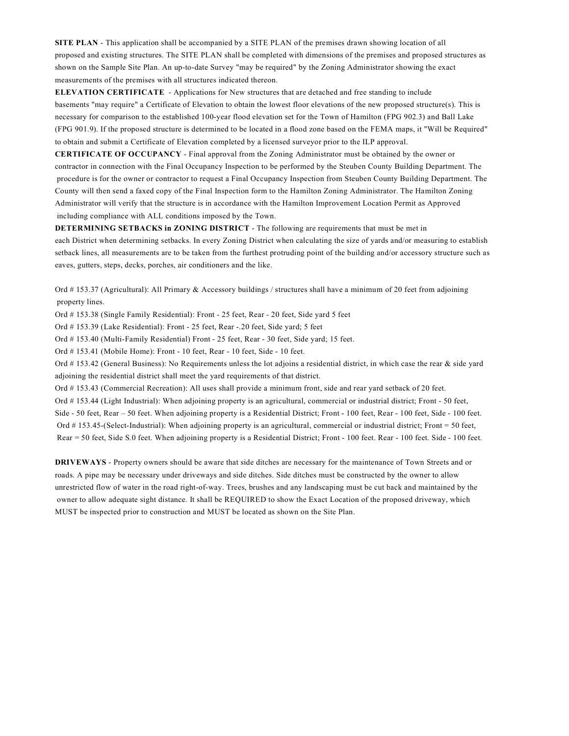**SITE PLAN** - This application shall be accompanied by a SITE PLAN of the premises drawn showing location of all proposed and existing structures. The SITE PLAN shall be completed with dimensions of the premises and proposed structures as shown on the Sample Site Plan. An up-to-date Survey "may be required" by the Zoning Administrator showing the exact measurements of the premises with all structures indicated thereon.

**ELEVATION CERTIFICATE** - Applications for New structures that are detached and free standing to include basements "may require" a Certificate of Elevation to obtain the lowest floor elevations of the new proposed structure(s). This is necessary for comparison to the established 100-year flood elevation set for the Town of Hamilton (FPG 902.3) and Ball Lake (FPG 901.9). If the proposed structure is determined to be located in a flood zone based on the FEMA maps, it "Will be Required" to obtain and submit a Certificate of Elevation completed by a licensed surveyor prior to the ILP approval.

**CERTIFICATE OF OCCUPANCY** - Final approval from the Zoning Administrator must be obtained by the owner or contractor in connection with the Final Occupancy Inspection to be performed by the Steuben County Building Department. The procedure is for the owner or contractor to request a Final Occupancy Inspection from Steuben County Building Department. The County will then send a faxed copy of the Final Inspection form to the Hamilton Zoning Administrator. The Hamilton Zoning Administrator will verify that the structure is in accordance with the Hamilton Improvement Location Permit as Approved including compliance with ALL conditions imposed by the Town.

**DETERMINING SETBACKS in ZONING DISTRICT** - The following are requirements that must be met in each District when determining setbacks. In every Zoning District when calculating the size of yards and/or measuring to establish setback lines, all measurements are to be taken from the furthest protruding point of the building and/or accessory structure such as eaves, gutters, steps, decks, porches, air conditioners and the like.

Ord # 153.37 (Agricultural): All Primary & Accessory buildings / structures shall have a minimum of 20 feet from adjoining property lines.

Ord # 153.38 (Single Family Residential): Front - 25 feet, Rear - 20 feet, Side yard 5 feet

Ord # 153.39 (Lake Residential): Front - 25 feet, Rear -.20 feet, Side yard; 5 feet

Ord # 153.40 (Multi-Family Residential) Front - 25 feet, Rear - 30 feet, Side yard; 15 feet.

Ord # 153.41 (Mobile Home): Front - 10 feet, Rear - 10 feet, Side - 10 feet.

Ord #153.42 (General Business): No Requirements unless the lot adjoins a residential district, in which case the rear & side yard adjoining the residential district shall meet the yard requirements of that district.

Ord # 153.43 (Commercial Recreation): All uses shall provide a minimum front, side and rear yard setback of 20 feet.

Ord # 153.44 (Light Industrial): When adjoining property is an agricultural, commercial or industrial district; Front - 50 feet, Side - 50 feet, Rear – 50 feet. When adjoining property is a Residential District; Front - 100 feet, Rear - 100 feet, Side - 100 feet. Ord # 153.45-(Select-Industrial): When adjoining property is an agricultural, commercial or industrial district; Front = 50 feet, Rear = 50 feet, Side S.0 feet. When adjoining property is a Residential District; Front - 100 feet. Rear - 100 feet. Side - 100 feet.

**DRIVEWAYS** - Property owners should be aware that side ditches are necessary for the maintenance of Town Streets and or roads. A pipe may be necessary under driveways and side ditches. Side ditches must be constructed by the owner to allow unrestricted flow of water in the road right-of-way. Trees, brushes and any landscaping must be cut back and maintained by the owner to allow adequate sight distance. It shall be REQUIRED to show the Exact Location of the proposed driveway, which MUST be inspected prior to construction and MUST be located as shown on the Site Plan.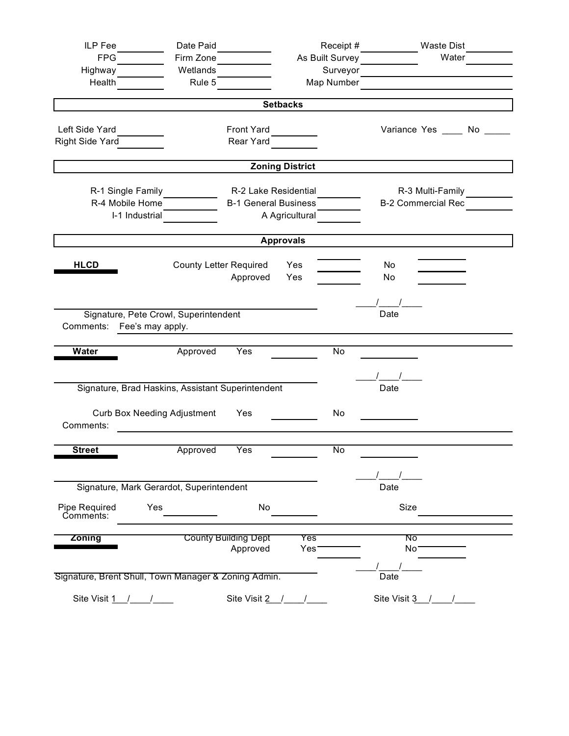| ILP Fee                                                   | Date Paid                                      |                                      |                        | Receipt #                 | <b>Waste Dist</b>        |       |  |
|-----------------------------------------------------------|------------------------------------------------|--------------------------------------|------------------------|---------------------------|--------------------------|-------|--|
| <b>FPG</b>                                                | Firm Zone                                      |                                      |                        | As Built Survey           |                          | Water |  |
| Highway                                                   | Wetlands                                       | Surveyor                             |                        |                           |                          |       |  |
| Health                                                    | Rule 5                                         |                                      |                        | Map Number                |                          |       |  |
|                                                           |                                                |                                      | <b>Setbacks</b>        |                           |                          |       |  |
|                                                           |                                                |                                      |                        |                           |                          |       |  |
| Left Side Yard<br>Front Yard                              |                                                |                                      |                        |                           | Variance Yes _____ No __ |       |  |
| Right Side Yard                                           |                                                | Rear Yard                            |                        |                           |                          |       |  |
|                                                           |                                                |                                      | <b>Zoning District</b> |                           |                          |       |  |
| R-1 Single Family<br>R-2 Lake Residential                 |                                                |                                      |                        | R-3 Multi-Family          |                          |       |  |
|                                                           | R-4 Mobile Home<br><b>B-1 General Business</b> |                                      |                        | <b>B-2 Commercial Rec</b> |                          |       |  |
|                                                           | I-1 Industrial                                 |                                      | A Agricultural         |                           |                          |       |  |
|                                                           |                                                |                                      | <b>Approvals</b>       |                           |                          |       |  |
|                                                           |                                                |                                      |                        |                           |                          |       |  |
| <b>HLCD</b>                                               | <b>County Letter Required</b>                  |                                      | Yes                    |                           | No                       |       |  |
|                                                           |                                                | Approved                             | Yes                    |                           | No                       |       |  |
|                                                           |                                                |                                      |                        |                           |                          |       |  |
| Signature, Pete Crowl, Superintendent                     |                                                | Date                                 |                        |                           |                          |       |  |
| Comments: Fee's may apply.                                |                                                |                                      |                        |                           |                          |       |  |
| <b>Water</b>                                              | Approved                                       | Yes                                  |                        | No                        |                          |       |  |
|                                                           |                                                |                                      |                        |                           |                          |       |  |
|                                                           |                                                |                                      |                        |                           |                          |       |  |
| Signature, Brad Haskins, Assistant Superintendent<br>Date |                                                |                                      |                        |                           |                          |       |  |
| <b>Curb Box Needing Adjustment</b><br>Yes                 |                                                |                                      |                        | No                        |                          |       |  |
| Comments:                                                 |                                                |                                      |                        |                           |                          |       |  |
| <b>Street</b>                                             | Approved                                       | Yes                                  |                        | <b>No</b>                 |                          |       |  |
|                                                           |                                                |                                      |                        |                           |                          |       |  |
|                                                           |                                                |                                      |                        |                           |                          |       |  |
| Signature, Mark Gerardot, Superintendent                  |                                                | Date                                 |                        |                           |                          |       |  |
| Pipe Required<br>Comments:                                | Yes                                            | No                                   |                        |                           | Size                     |       |  |
|                                                           |                                                |                                      |                        |                           |                          |       |  |
| <b>Zoning</b>                                             |                                                | <b>County Building Dept</b>          | Yes                    |                           | ᠬᠦ                       |       |  |
|                                                           |                                                | Approved                             | Yes <sup>®</sup>       |                           | No <sup>-</sup>          |       |  |
| Signature, Brent Shull, Town Manager & Zoning Admin.      |                                                |                                      |                        |                           | Date                     |       |  |
|                                                           |                                                |                                      |                        |                           |                          |       |  |
| Site Visit $1 / 1$                                        |                                                | Site Visit $2 \quad / \quad / \quad$ |                        |                           | Site Visit $3$ / /       |       |  |